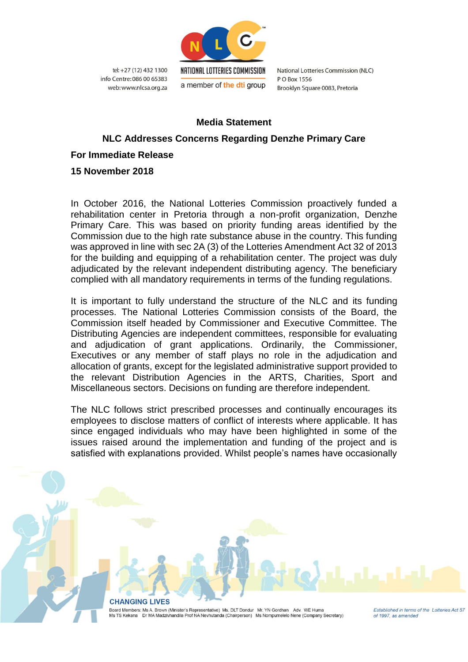

tel: +27 (12) 432 1300 info Centre: 086 00 65383 web: www.nlcsa.org.za National Lotteries Commission (NLC) PO Box 1556 Brooklyn Square 0083, Pretoria

## **Media Statement**

## **NLC Addresses Concerns Regarding Denzhe Primary Care**

## **For Immediate Release**

**15 November 2018**

In October 2016, the National Lotteries Commission proactively funded a rehabilitation center in Pretoria through a non-profit organization, Denzhe Primary Care. This was based on priority funding areas identified by the Commission due to the high rate substance abuse in the country. This funding was approved in line with sec 2A (3) of the Lotteries Amendment Act 32 of 2013 for the building and equipping of a rehabilitation center. The project was duly adjudicated by the relevant independent distributing agency. The beneficiary complied with all mandatory requirements in terms of the funding regulations.

It is important to fully understand the structure of the NLC and its funding processes. The National Lotteries Commission consists of the Board, the Commission itself headed by Commissioner and Executive Committee. The Distributing Agencies are independent committees, responsible for evaluating and adjudication of grant applications. Ordinarily, the Commissioner, Executives or any member of staff plays no role in the adjudication and allocation of grants, except for the legislated administrative support provided to the relevant Distribution Agencies in the ARTS, Charities, Sport and Miscellaneous sectors. Decisions on funding are therefore independent.

The NLC follows strict prescribed processes and continually encourages its employees to disclose matters of conflict of interests where applicable. It has since engaged individuals who may have been highlighted in some of the issues raised around the implementation and funding of the project and is satisfied with explanations provided. Whilst people's names have occasionally

> **CHANGING LIVES** Board Members: Ms A. Brown (Minister's Representative) Ms. DLT Dondur Mr. YN Gordhan Adv. WE Huma Ms TS Kekana Dr MA Madzivhandila Prof NA Nevhutanda (Chairperson) Ms Nompumelelo Nene (Company Secretary)

Established in terms of the Lotteries Act 57 of 1997, as amended